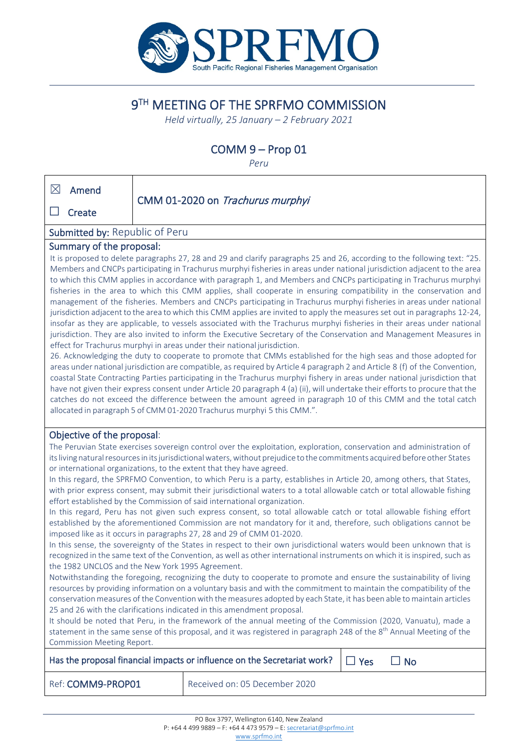

# 9TH MEETING OF THE SPRFMO COMMISSION

*Held virtually, 25 January – 2 February 2021*

## COMM 9 – Prop 01

*Peru*

| $\boxtimes$                                                                                                                                                                                                                                                                                                                                                                                                                                                                                                                                                                                                                                                                                                                                                                                                                                                                                                                                                                                                                                                                                                                                                                                                                                                                                                                                                                                                                                                                                                                                                                                                                                                                                                                                                                                          | Amend<br>Create                                                                                                                                                                                                                                                                                                                                                                                                                                                                                                                                                                                                                                                                                                                                                                                                                                                                                                         |  | CMM 01-2020 on Trachurus murphyi |  |  |  |  |
|------------------------------------------------------------------------------------------------------------------------------------------------------------------------------------------------------------------------------------------------------------------------------------------------------------------------------------------------------------------------------------------------------------------------------------------------------------------------------------------------------------------------------------------------------------------------------------------------------------------------------------------------------------------------------------------------------------------------------------------------------------------------------------------------------------------------------------------------------------------------------------------------------------------------------------------------------------------------------------------------------------------------------------------------------------------------------------------------------------------------------------------------------------------------------------------------------------------------------------------------------------------------------------------------------------------------------------------------------------------------------------------------------------------------------------------------------------------------------------------------------------------------------------------------------------------------------------------------------------------------------------------------------------------------------------------------------------------------------------------------------------------------------------------------------|-------------------------------------------------------------------------------------------------------------------------------------------------------------------------------------------------------------------------------------------------------------------------------------------------------------------------------------------------------------------------------------------------------------------------------------------------------------------------------------------------------------------------------------------------------------------------------------------------------------------------------------------------------------------------------------------------------------------------------------------------------------------------------------------------------------------------------------------------------------------------------------------------------------------------|--|----------------------------------|--|--|--|--|
| Submitted by: Republic of Peru                                                                                                                                                                                                                                                                                                                                                                                                                                                                                                                                                                                                                                                                                                                                                                                                                                                                                                                                                                                                                                                                                                                                                                                                                                                                                                                                                                                                                                                                                                                                                                                                                                                                                                                                                                       |                                                                                                                                                                                                                                                                                                                                                                                                                                                                                                                                                                                                                                                                                                                                                                                                                                                                                                                         |  |                                  |  |  |  |  |
| Summary of the proposal:                                                                                                                                                                                                                                                                                                                                                                                                                                                                                                                                                                                                                                                                                                                                                                                                                                                                                                                                                                                                                                                                                                                                                                                                                                                                                                                                                                                                                                                                                                                                                                                                                                                                                                                                                                             |                                                                                                                                                                                                                                                                                                                                                                                                                                                                                                                                                                                                                                                                                                                                                                                                                                                                                                                         |  |                                  |  |  |  |  |
| It is proposed to delete paragraphs 27, 28 and 29 and clarify paragraphs 25 and 26, according to the following text: "25.<br>Members and CNCPs participating in Trachurus murphyi fisheries in areas under national jurisdiction adjacent to the area<br>to which this CMM applies in accordance with paragraph 1, and Members and CNCPs participating in Trachurus murphyi<br>fisheries in the area to which this CMM applies, shall cooperate in ensuring compatibility in the conservation and<br>management of the fisheries. Members and CNCPs participating in Trachurus murphyi fisheries in areas under national<br>jurisdiction adjacent to the area to which this CMM applies are invited to apply the measures set out in paragraphs 12-24,<br>insofar as they are applicable, to vessels associated with the Trachurus murphyi fisheries in their areas under national<br>jurisdiction. They are also invited to inform the Executive Secretary of the Conservation and Management Measures in<br>effect for Trachurus murphyi in areas under their national jurisdiction.<br>26. Acknowledging the duty to cooperate to promote that CMMs established for the high seas and those adopted for<br>areas under national jurisdiction are compatible, as required by Article 4 paragraph 2 and Article 8 (f) of the Convention,<br>coastal State Contracting Parties participating in the Trachurus murphyi fishery in areas under national jurisdiction that<br>have not given their express consent under Article 20 paragraph 4 (a) (ii), will undertake their efforts to procure that the<br>catches do not exceed the difference between the amount agreed in paragraph 10 of this CMM and the total catch<br>allocated in paragraph 5 of CMM 01-2020 Trachurus murphyi 5 this CMM.". |                                                                                                                                                                                                                                                                                                                                                                                                                                                                                                                                                                                                                                                                                                                                                                                                                                                                                                                         |  |                                  |  |  |  |  |
|                                                                                                                                                                                                                                                                                                                                                                                                                                                                                                                                                                                                                                                                                                                                                                                                                                                                                                                                                                                                                                                                                                                                                                                                                                                                                                                                                                                                                                                                                                                                                                                                                                                                                                                                                                                                      | Objective of the proposal:                                                                                                                                                                                                                                                                                                                                                                                                                                                                                                                                                                                                                                                                                                                                                                                                                                                                                              |  |                                  |  |  |  |  |
| The Peruvian State exercises sovereign control over the exploitation, exploration, conservation and administration of<br>its living natural resources in its jurisdictional waters, without prejudice to the commitments acquired before other States<br>or international organizations, to the extent that they have agreed.<br>In this regard, the SPRFMO Convention, to which Peru is a party, establishes in Article 20, among others, that States,<br>with prior express consent, may submit their jurisdictional waters to a total allowable catch or total allowable fishing<br>effort established by the Commission of said international organization.<br>In this regard, Peru has not given such express consent, so total allowable catch or total allowable fishing effort<br>established by the aforementioned Commission are not mandatory for it and, therefore, such obligations cannot be                                                                                                                                                                                                                                                                                                                                                                                                                                                                                                                                                                                                                                                                                                                                                                                                                                                                                           |                                                                                                                                                                                                                                                                                                                                                                                                                                                                                                                                                                                                                                                                                                                                                                                                                                                                                                                         |  |                                  |  |  |  |  |
| imposed like as it occurs in paragraphs 27, 28 and 29 of CMM 01-2020.<br>In this sense, the sovereignty of the States in respect to their own jurisdictional waters would been unknown that is                                                                                                                                                                                                                                                                                                                                                                                                                                                                                                                                                                                                                                                                                                                                                                                                                                                                                                                                                                                                                                                                                                                                                                                                                                                                                                                                                                                                                                                                                                                                                                                                       |                                                                                                                                                                                                                                                                                                                                                                                                                                                                                                                                                                                                                                                                                                                                                                                                                                                                                                                         |  |                                  |  |  |  |  |
|                                                                                                                                                                                                                                                                                                                                                                                                                                                                                                                                                                                                                                                                                                                                                                                                                                                                                                                                                                                                                                                                                                                                                                                                                                                                                                                                                                                                                                                                                                                                                                                                                                                                                                                                                                                                      | recognized in the same text of the Convention, as well as other international instruments on which it is inspired, such as<br>the 1982 UNCLOS and the New York 1995 Agreement.<br>Notwithstanding the foregoing, recognizing the duty to cooperate to promote and ensure the sustainability of living<br>resources by providing information on a voluntary basis and with the commitment to maintain the compatibility of the<br>conservation measures of the Convention with the measures adopted by each State, it has been able to maintain articles<br>25 and 26 with the clarifications indicated in this amendment proposal.<br>It should be noted that Peru, in the framework of the annual meeting of the Commission (2020, Vanuatu), made a<br>statement in the same sense of this proposal, and it was registered in paragraph 248 of the 8 <sup>th</sup> Annual Meeting of the<br>Commission Meeting Report. |  |                                  |  |  |  |  |
| Has the proposal financial impacts or influence on the Secretariat work?<br>$\Box$ Yes<br>$\square$ No                                                                                                                                                                                                                                                                                                                                                                                                                                                                                                                                                                                                                                                                                                                                                                                                                                                                                                                                                                                                                                                                                                                                                                                                                                                                                                                                                                                                                                                                                                                                                                                                                                                                                               |                                                                                                                                                                                                                                                                                                                                                                                                                                                                                                                                                                                                                                                                                                                                                                                                                                                                                                                         |  |                                  |  |  |  |  |
|                                                                                                                                                                                                                                                                                                                                                                                                                                                                                                                                                                                                                                                                                                                                                                                                                                                                                                                                                                                                                                                                                                                                                                                                                                                                                                                                                                                                                                                                                                                                                                                                                                                                                                                                                                                                      | Received on: 05 December 2020<br>Ref: COMM9-PROP01                                                                                                                                                                                                                                                                                                                                                                                                                                                                                                                                                                                                                                                                                                                                                                                                                                                                      |  |                                  |  |  |  |  |

[www.sprfmo.int](http://www.sprfmo.int/)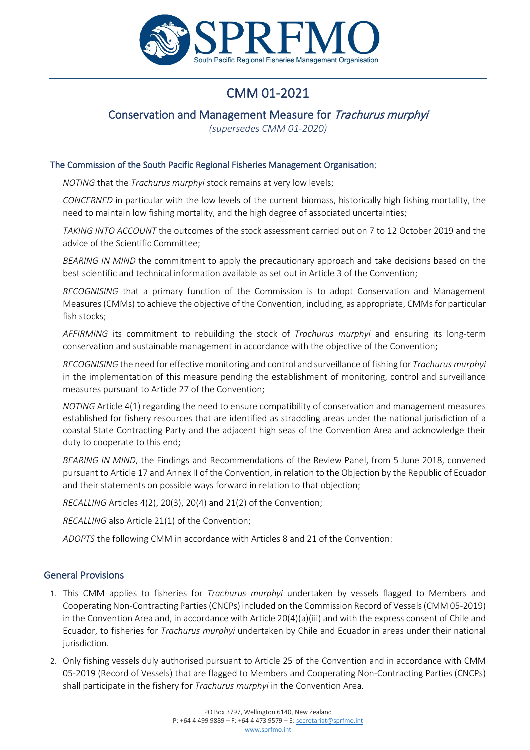

# CMM 01-2021

### Conservation and Management Measure for Trachurus murphyi

*(supersedes CMM 01-2020)*

#### The Commission of the South Pacific Regional Fisheries Management Organisation;

*NOTING* that the *Trachurus murphyi* stock remains at very low levels;

*CONCERNED* in particular with the low levels of the current biomass, historically high fishing mortality, the need to maintain low fishing mortality, and the high degree of associated uncertainties;

*TAKING INTO ACCOUNT* the outcomes of the stock assessment carried out on 7 to 12 October 2019 and the advice of the Scientific Committee;

*BEARING IN MIND* the commitment to apply the precautionary approach and take decisions based on the best scientific and technical information available as set out in Article 3 of the Convention;

*RECOGNISING* that a primary function of the Commission is to adopt Conservation and Management Measures (CMMs) to achieve the objective of the Convention, including, as appropriate, CMMs for particular fish stocks;

*AFFIRMING* its commitment to rebuilding the stock of *Trachurus murphyi* and ensuring its long-term conservation and sustainable management in accordance with the objective of the Convention;

*RECOGNISING* the need for effective monitoring and control and surveillance of fishing for *Trachurus murphyi*  in the implementation of this measure pending the establishment of monitoring, control and surveillance measures pursuant to Article 27 of the Convention;

*NOTING* Article 4(1) regarding the need to ensure compatibility of conservation and management measures established for fishery resources that are identified as straddling areas under the national jurisdiction of a coastal State Contracting Party and the adjacent high seas of the Convention Area and acknowledge their duty to cooperate to this end;

*BEARING IN MIND*, the Findings and Recommendations of the Review Panel, from 5 June 2018, convened pursuant to Article 17 and Annex II of the Convention, in relation to the Objection by the Republic of Ecuador and their statements on possible ways forward in relation to that objection;

*RECALLING* Articles 4(2), 20(3), 20(4) and 21(2) of the Convention;

*RECALLING* also Article 21(1) of the Convention;

*ADOPTS* the following CMM in accordance with Articles 8 and 21 of the Convention:

#### General Provisions

- 1. This CMM applies to fisheries for *Trachurus murphyi* undertaken by vessels flagged to Members and Cooperating Non-Contracting Parties (CNCPs) included on the Commission Record of Vessels (CMM 05-2019) in the Convention Area and, in accordance with Article 20(4)(a)(iii) and with the express consent of Chile and Ecuador, to fisheries for *Trachurus murphyi* undertaken by Chile and Ecuador in areas under their national jurisdiction.
- 2. Only fishing vessels duly authorised pursuant to Article 25 of the Convention and in accordance with CMM 05-2019 (Record of Vessels) that are flagged to Members and Cooperating Non-Contracting Parties (CNCPs) shall participate in the fishery for *Trachurus murphyi* in the Convention Area.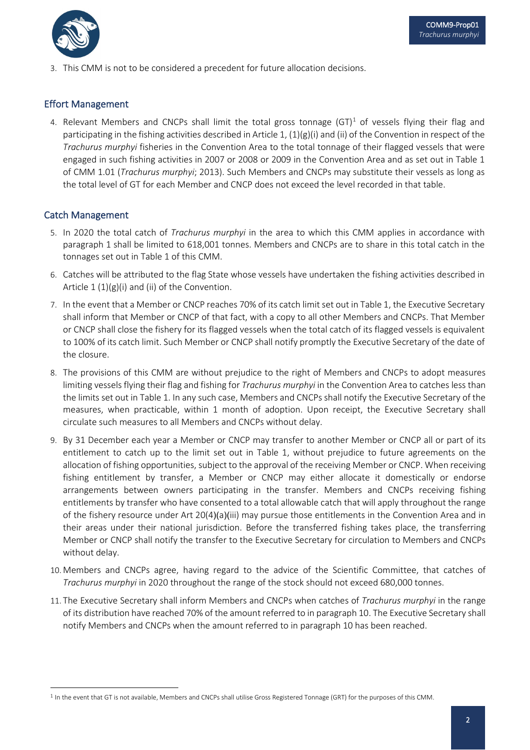

3. This CMM is not to be considered a precedent for future allocation decisions.

#### Effort Management

4. Relevant Members and CNCPs shall limit the total gross tonnage  $(GT)^1$  of vessels flying their flag and participating in the fishing activities described in Article 1, (1)(g)(i) and (ii) of the Convention in respect of the *Trachurus murphyi* fisheries in the Convention Area to the total tonnage of their flagged vessels that were engaged in such fishing activities in 2007 or 2008 or 2009 in the Convention Area and as set out in Table 1 of CMM 1.01 (*Trachurus murphyi*; 2013). Such Members and CNCPs may substitute their vessels as long as the total level of GT for each Member and CNCP does not exceed the level recorded in that table.

#### Catch Management

- 5. In 2020 the total catch of *Trachurus murphyi* in the area to which this CMM applies in accordance with paragraph 1 shall be limited to 618,001 tonnes. Members and CNCPs are to share in this total catch in the tonnages set out in Table 1 of this CMM.
- 6. Catches will be attributed to the flag State whose vessels have undertaken the fishing activities described in Article  $1 (1)(g)(i)$  and (ii) of the Convention.
- 7. In the event that a Member or CNCP reaches 70% of its catch limit set out in Table 1, the Executive Secretary shall inform that Member or CNCP of that fact, with a copy to all other Members and CNCPs. That Member or CNCP shall close the fishery for its flagged vessels when the total catch of its flagged vessels is equivalent to 100% of its catch limit. Such Member or CNCP shall notify promptly the Executive Secretary of the date of the closure.
- 8. The provisions of this CMM are without prejudice to the right of Members and CNCPs to adopt measures limiting vessels flying their flag and fishing for *Trachurus murphyi* in the Convention Area to catches less than the limits set out in Table 1. In any such case, Members and CNCPs shall notify the Executive Secretary of the measures, when practicable, within 1 month of adoption. Upon receipt, the Executive Secretary shall circulate such measures to all Members and CNCPs without delay.
- 9. By 31 December each year a Member or CNCP may transfer to another Member or CNCP all or part of its entitlement to catch up to the limit set out in Table 1, without prejudice to future agreements on the allocation of fishing opportunities, subject to the approval of the receiving Member or CNCP. When receiving fishing entitlement by transfer, a Member or CNCP may either allocate it domestically or endorse arrangements between owners participating in the transfer. Members and CNCPs receiving fishing entitlements by transfer who have consented to a total allowable catch that will apply throughout the range of the fishery resource under Art 20(4)(a)(iii) may pursue those entitlements in the Convention Area and in their areas under their national jurisdiction. Before the transferred fishing takes place, the transferring Member or CNCP shall notify the transfer to the Executive Secretary for circulation to Members and CNCPs without delay.
- 10. Members and CNCPs agree, having regard to the advice of the Scientific Committee, that catches of *Trachurus murphyi* in 2020 throughout the range of the stock should not exceed 680,000 tonnes.
- 11. The Executive Secretary shall inform Members and CNCPs when catches of *Trachurus murphyi* in the range of its distribution have reached 70% of the amount referred to in paragraph 10. The Executive Secretary shall notify Members and CNCPs when the amount referred to in paragraph 10 has been reached.

<span id="page-2-0"></span><sup>&</sup>lt;sup>1</sup> In the event that GT is not available, Members and CNCPs shall utilise Gross Registered Tonnage (GRT) for the purposes of this CMM.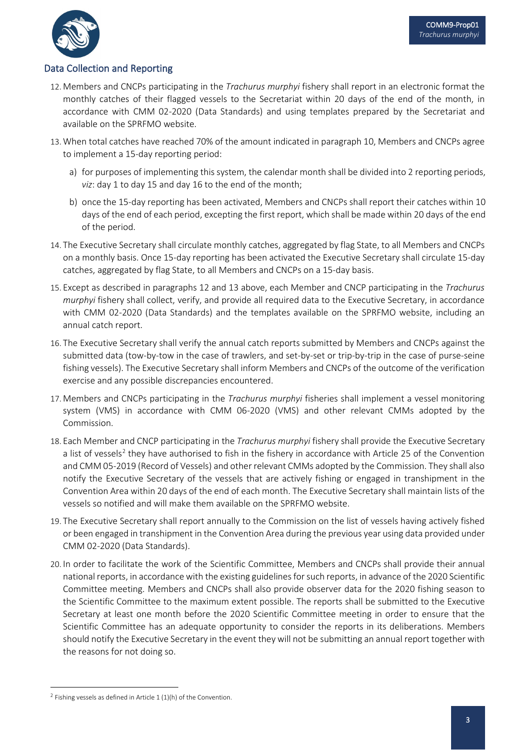

### Data Collection and Reporting

- 12. Members and CNCPs participating in the *Trachurus murphyi* fishery shall report in an electronic format the monthly catches of their flagged vessels to the Secretariat within 20 days of the end of the month, in accordance with CMM 02-2020 (Data Standards) and using templates prepared by the Secretariat and available on the SPRFMO website.
- 13. When total catches have reached 70% of the amount indicated in paragraph 10, Members and CNCPs agree to implement a 15-day reporting period:
	- a) for purposes of implementing this system, the calendar month shall be divided into 2 reporting periods, *viz*: day 1 to day 15 and day 16 to the end of the month;
	- b) once the 15-day reporting has been activated, Members and CNCPs shall report their catches within 10 days of the end of each period, excepting the first report, which shall be made within 20 days of the end of the period.
- 14. The Executive Secretary shall circulate monthly catches, aggregated by flag State, to all Members and CNCPs on a monthly basis. Once 15-day reporting has been activated the Executive Secretary shall circulate 15-day catches, aggregated by flag State, to all Members and CNCPs on a 15-day basis.
- 15. Except as described in paragraphs 12 and 13 above, each Member and CNCP participating in the *Trachurus murphyi* fishery shall collect, verify, and provide all required data to the Executive Secretary, in accordance with CMM 02-2020 (Data Standards) and the templates available on the SPRFMO website, including an annual catch report.
- 16. The Executive Secretary shall verify the annual catch reports submitted by Members and CNCPs against the submitted data (tow-by-tow in the case of trawlers, and set-by-set or trip-by-trip in the case of purse-seine fishing vessels). The Executive Secretary shall inform Members and CNCPs of the outcome of the verification exercise and any possible discrepancies encountered.
- 17. Members and CNCPs participating in the *Trachurus murphyi* fisheries shall implement a vessel monitoring system (VMS) in accordance with CMM 06-2020 (VMS) and other relevant CMMs adopted by the Commission.
- 18. Each Member and CNCP participating in the *Trachurus murphyi* fishery shall provide the Executive Secretary a list of vessels<sup>[2](#page-3-0)</sup> they have authorised to fish in the fishery in accordance with Article 25 of the Convention and CMM 05-2019 (Record of Vessels) and other relevant CMMs adopted by the Commission. They shall also notify the Executive Secretary of the vessels that are actively fishing or engaged in transhipment in the Convention Area within 20 days of the end of each month. The Executive Secretary shall maintain lists of the vessels so notified and will make them available on the SPRFMO website.
- 19. The Executive Secretary shall report annually to the Commission on the list of vessels having actively fished or been engaged in transhipment in the Convention Area during the previous year using data provided under CMM 02-2020 (Data Standards).
- 20. In order to facilitate the work of the Scientific Committee, Members and CNCPs shall provide their annual national reports, in accordance with the existing guidelines for such reports, in advance of the 2020 Scientific Committee meeting. Members and CNCPs shall also provide observer data for the 2020 fishing season to the Scientific Committee to the maximum extent possible. The reports shall be submitted to the Executive Secretary at least one month before the 2020 Scientific Committee meeting in order to ensure that the Scientific Committee has an adequate opportunity to consider the reports in its deliberations. Members should notify the Executive Secretary in the event they will not be submitting an annual report together with the reasons for not doing so.

<span id="page-3-0"></span><sup>&</sup>lt;sup>2</sup> Fishing vessels as defined in Article 1 (1)(h) of the Convention.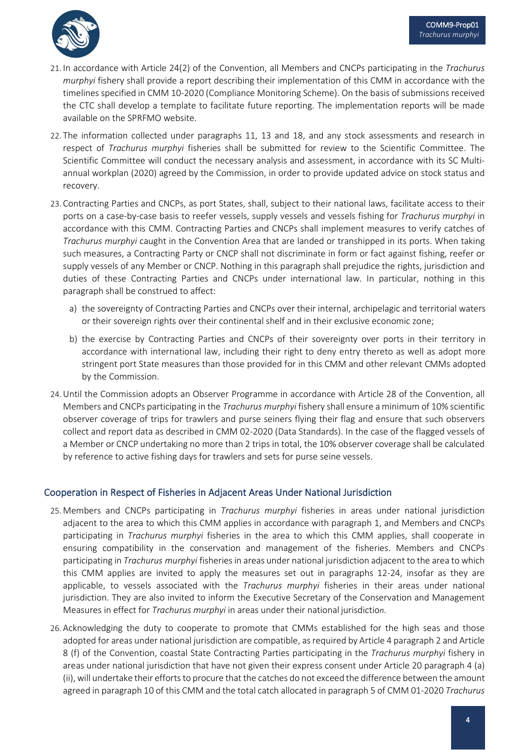

- 21. In accordance with Article 24(2) of the Convention, all Members and CNCPs participating in the *Trachurus murphyi* fishery shall provide a report describing their implementation of this CMM in accordance with the timelines specified in CMM 10-2020 (Compliance Monitoring Scheme). On the basis of submissions received the CTC shall develop a template to facilitate future reporting. The implementation reports will be made available on the SPRFMO website.
- 22. The information collected under paragraphs 11, 13 and 18, and any stock assessments and research in respect of *Trachurus murphyi* fisheries shall be submitted for review to the Scientific Committee. The Scientific Committee will conduct the necessary analysis and assessment, in accordance with its SC Multiannual workplan (2020) agreed by the Commission, in order to provide updated advice on stock status and recovery.
- 23. Contracting Parties and CNCPs, as port States, shall, subject to their national laws, facilitate access to their ports on a case-by-case basis to reefer vessels, supply vessels and vessels fishing for *Trachurus murphyi* in accordance with this CMM. Contracting Parties and CNCPs shall implement measures to verify catches of *Trachurus murphyi* caught in the Convention Area that are landed or transhipped in its ports. When taking such measures, a Contracting Party or CNCP shall not discriminate in form or fact against fishing, reefer or supply vessels of any Member or CNCP. Nothing in this paragraph shall prejudice the rights, jurisdiction and duties of these Contracting Parties and CNCPs under international law. In particular, nothing in this paragraph shall be construed to affect:
	- a) the sovereignty of Contracting Parties and CNCPs over their internal, archipelagic and territorial waters or their sovereign rights over their continental shelf and in their exclusive economic zone;
	- b) the exercise by Contracting Parties and CNCPs of their sovereignty over ports in their territory in accordance with international law, including their right to deny entry thereto as well as adopt more stringent port State measures than those provided for in this CMM and other relevant CMMs adopted by the Commission.
- 24.Until the Commission adopts an Observer Programme in accordance with Article 28 of the Convention, all Members and CNCPs participating in the *Trachurus murphyi* fishery shall ensure a minimum of 10% scientific observer coverage of trips for trawlers and purse seiners flying their flag and ensure that such observers collect and report data as described in CMM 02-2020 (Data Standards). In the case of the flagged vessels of a Member or CNCP undertaking no more than 2 trips in total, the 10% observer coverage shall be calculated by reference to active fishing days for trawlers and sets for purse seine vessels.

#### Cooperation in Respect of Fisheries in Adjacent Areas Under National Jurisdiction

- 25. Members and CNCPs participating in *Trachurus murphyi* fisheries in areas under national jurisdiction adjacent to the area to which this CMM applies in accordance with paragraph 1, and Members and CNCPs participating in *Trachurus murphyi* fisheries in the area to which this CMM applies, shall cooperate in ensuring compatibility in the conservation and management of the fisheries. Members and CNCPs participating in *Trachurus murphyi* fisheriesin areas under national jurisdiction adjacent to the area to which this CMM applies are invited to apply the measures set out in paragraphs 12-24, insofar as they are applicable, to vessels associated with the *Trachurus murphyi* fisheries in their areas under national jurisdiction. They are also invited to inform the Executive Secretary of the Conservation and Management Measures in effect for *Trachurus murphyi* in areas under their national jurisdictio*n*.
- 26. Acknowledging the duty to cooperate to promote that CMMs established for the high seas and those adopted for areas under national jurisdiction are compatible, as required by Article 4 paragraph 2 and Article 8 (f) of the Convention, coastal State Contracting Parties participating in the *Trachurus murphyi* fishery in areas under national jurisdiction that have not given their express consent under Article 20 paragraph 4 (a) (ii), will undertake their efforts to procure that the catches do not exceed the difference between the amount agreed in paragraph 10 of this CMM and the total catch allocated in paragraph 5 of CMM 01-2020 *Trachurus*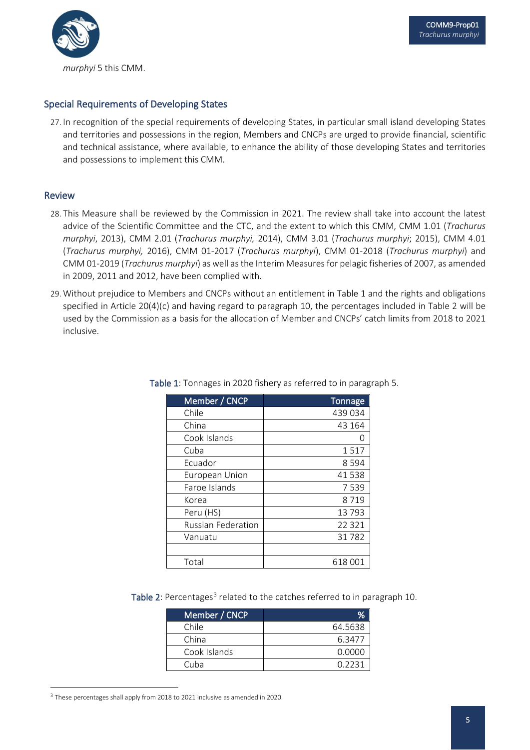

#### Special Requirements of Developing States

27. In recognition of the special requirements of developing States, in particular small island developing States and territories and possessions in the region, Members and CNCPs are urged to provide financial, scientific and technical assistance, where available, to enhance the ability of those developing States and territories and possessions to implement this CMM.

#### Review

- 28. This Measure shall be reviewed by the Commission in 2021. The review shall take into account the latest advice of the Scientific Committee and the CTC, and the extent to which this CMM, CMM 1.01 (*Trachurus murphyi*, 2013), CMM 2.01 (*Trachurus murphyi,* 2014), CMM 3.01 (*Trachurus murphyi*; 2015), CMM 4.01 (*Trachurus murphyi,* 2016), CMM 01-2017 (*Trachurus murphyi*), CMM 01-2018 (*Trachurus murphyi*) and CMM 01-2019 (*Trachurus murphyi*) as well as the Interim Measures for pelagic fisheries of 2007, as amended in 2009, 2011 and 2012, have been complied with.
- 29. Without prejudice to Members and CNCPs without an entitlement in Table 1 and the rights and obligations specified in Article 20(4)(c) and having regard to paragraph 10, the percentages included in Table 2 will be used by the Commission as a basis for the allocation of Member and CNCPs' catch limits from 2018 to 2021 inclusive.

| Member / CNCP             | <b>Tonnage</b> |
|---------------------------|----------------|
| Chile                     | 439 034        |
| China                     | 43 164         |
| Cook Islands              |                |
| Cuba                      | 1517           |
| Ecuador                   | 8594           |
| European Union            | 41538          |
| Faroe Islands             | 7539           |
| Korea                     | 8719           |
| Peru (HS)                 | 13793          |
| <b>Russian Federation</b> | 22 3 21        |
| Vanuatu                   | 31782          |
|                           |                |
| Total                     | 618 001        |

Table 1: Tonnages in 2020 fishery as referred to in paragraph 5.

Table 2: Percentages<sup>[3](#page-5-0)</sup> related to the catches referred to in paragraph 10.

| Member / CNCP |         |
|---------------|---------|
| Chile         | 64.5638 |
| China         | 6.3477  |
| Cook Islands  | 0.0000  |
| Cuba          | 0 2231  |

<span id="page-5-0"></span><sup>3</sup> These percentages shall apply from 2018 to 2021 inclusive as amended in 2020.